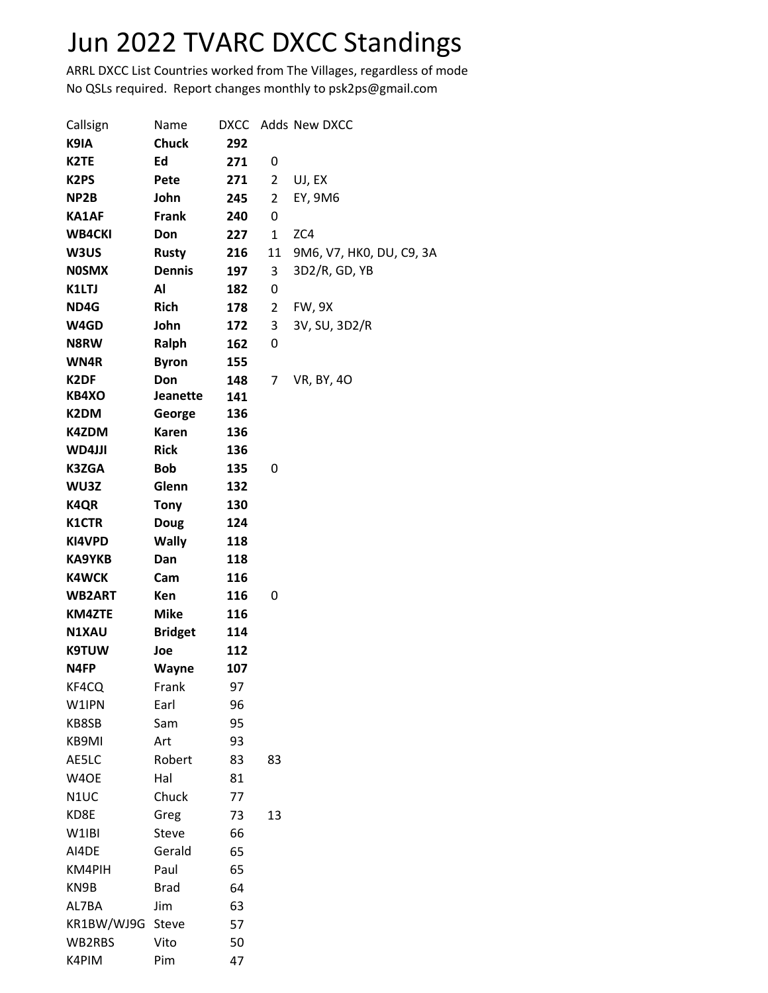## Jun 2022 TVARC DXCC Standings

ARRL DXCC List Countries worked from The Villages, regardless of mode No QSLs required. Report changes monthly to psk2ps@gmail.com

| Callsign          | Name            | <b>DXCC</b> |    | Adds New DXCC            |
|-------------------|-----------------|-------------|----|--------------------------|
| K9IA              | <b>Chuck</b>    | 292         |    |                          |
| K <sub>2</sub> TE | Ed              | 271         | 0  |                          |
| K <sub>2</sub> PS | Pete            | 271         | 2  | UJ, EX                   |
| NP2B              | John            | 245         | 2  | EY, 9M6                  |
| <b>KA1AF</b>      | <b>Frank</b>    | 240         | 0  |                          |
| <b>WB4CKI</b>     | Don             | 227         | 1  | ZC4                      |
| W3US              | <b>Rusty</b>    | 216         | 11 | 9M6, V7, HK0, DU, C9, 3A |
| <b>NOSMX</b>      | <b>Dennis</b>   | 197         | 3  | 3D2/R, GD, YB            |
| K1LTJ             | Al              | 182         | 0  |                          |
| ND4G              | <b>Rich</b>     | 178         | 2  | <b>FW, 9X</b>            |
| W4GD              | John            | 172         | 3  | 3V, SU, 3D2/R            |
| N8RW              | Ralph           | 162         | 0  |                          |
| WN4R              | <b>Byron</b>    | 155         |    |                          |
| K <sub>2</sub> DF | Don             | 148         | 7  | VR, BY, 40               |
| KB4XO             | <b>Jeanette</b> | 141         |    |                          |
| K2DM              | George          | 136         |    |                          |
| K4ZDM             | <b>Karen</b>    | 136         |    |                          |
| WD4JJI            | <b>Rick</b>     | 136         |    |                          |
| <b>K3ZGA</b>      | <b>Bob</b>      | 135         | 0  |                          |
| WU3Z              | Glenn           | 132         |    |                          |
| <b>K4QR</b>       | <b>Tony</b>     | 130         |    |                          |
| <b>K1CTR</b>      | <b>Doug</b>     | 124         |    |                          |
| KI4VPD            | <b>Wally</b>    | 118         |    |                          |
| <b>KA9YKB</b>     | Dan             | 118         |    |                          |
| <b>K4WCK</b>      | Cam             | 116         |    |                          |
| <b>WB2ART</b>     | Ken             | 116         | 0  |                          |
| <b>KM4ZTE</b>     | <b>Mike</b>     | 116         |    |                          |
| N1XAU             | <b>Bridget</b>  | 114         |    |                          |
| <b>K9TUW</b>      | Joe             | 112         |    |                          |
| N4FP              | <b>Wayne</b>    | 107         |    |                          |
| KF4CQ             | Frank           | 97          |    |                          |
| W1IPN             | Earl            | 96          |    |                          |
| KB8SB             | Sam             | 95          |    |                          |
| KB9MI             | Art             | 93          |    |                          |
| AE5LC             | Robert          | 83          | 83 |                          |
| W4OE              | Hal             | 81          |    |                          |
| N1UC              | Chuck           | 77          |    |                          |
| KD8E              | Greg            | 73          | 13 |                          |
| W1IBI             | Steve           | 66          |    |                          |
| AI4DE             | Gerald          | 65          |    |                          |
| KM4PIH            | Paul            | 65          |    |                          |
| KN9B              | <b>Brad</b>     | 64          |    |                          |
| AL7BA             | Jim             | 63          |    |                          |
| KR1BW/WJ9G        | Steve           | 57          |    |                          |
| WB2RBS            | Vito            | 50          |    |                          |
| K4PIM             | Pim             | 47          |    |                          |